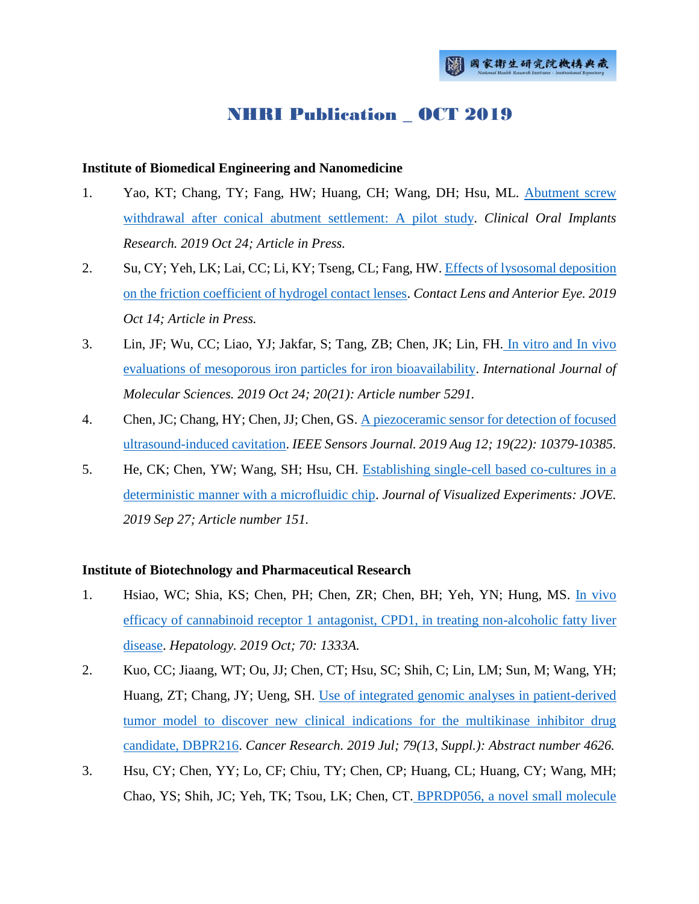# NHRI Publication \_ OCT 2019

### **Institute of Biomedical Engineering and Nanomedicine**

- 1. Yao, KT; Chang, TY; Fang, HW; Huang, CH; Wang, DH; Hsu, ML. Abutment screw [withdrawal after conical abutment settlement: A pilot study.](http://ir.nhri.org.tw/handle/3990099045/12273) *Clinical Oral Implants Research. 2019 Oct 24; Article in Press.*
- 2. Su, CY; Yeh, LK; Lai, CC; Li, KY; Tseng, CL; Fang, HW. Effects of lysosomal deposition [on the friction coefficient of hydrogel contact lenses.](http://ir.nhri.org.tw/handle/3990099045/12274) *Contact Lens and Anterior Eye. 2019 Oct 14; Article in Press.*
- 3. Lin, JF; Wu, CC; Liao, YJ; Jakfar, S; Tang, ZB; Chen, JK; Lin, FH. [In vitro and In vivo](http://ir.nhri.org.tw/handle/3990099045/12275)  [evaluations of mesoporous iron particles for iron bioavailability.](http://ir.nhri.org.tw/handle/3990099045/12275) *International Journal of Molecular Sciences. 2019 Oct 24; 20(21): Article number 5291.*
- 4. Chen, JC; Chang, HY; Chen, JJ; Chen, GS. [A piezoceramic sensor for detection of focused](http://ir.nhri.org.tw/handle/3990099045/12276)  [ultrasound-induced cavitation.](http://ir.nhri.org.tw/handle/3990099045/12276) *IEEE Sensors Journal. 2019 Aug 12; 19(22): 10379-10385.*
- 5. He, CK; Chen, YW; Wang, SH; Hsu, CH. [Establishing single-cell based co-cultures in a](http://ir.nhri.org.tw/handle/3990099045/12277)  [deterministic manner with a microfluidic chip.](http://ir.nhri.org.tw/handle/3990099045/12277) *Journal of Visualized Experiments: JOVE. 2019 Sep 27; Article number 151.*

# **Institute of Biotechnology and Pharmaceutical Research**

- 1. Hsiao, WC; Shia, KS; Chen, PH; Chen, ZR; Chen, BH; Yeh, YN; Hung, MS. [In vivo](http://ir.nhri.org.tw/handle/3990099045/12217)  [efficacy of cannabinoid receptor 1 antagonist, CPD1, in treating non-alcoholic fatty liver](http://ir.nhri.org.tw/handle/3990099045/12217)  [disease.](http://ir.nhri.org.tw/handle/3990099045/12217) *Hepatology. 2019 Oct; 70: 1333A.*
- 2. Kuo, CC; Jiaang, WT; Ou, JJ; Chen, CT; Hsu, SC; Shih, C; Lin, LM; Sun, M; Wang, YH; Huang, ZT; Chang, JY; Ueng, SH. [Use of integrated genomic analyses in patient-derived](http://ir.nhri.org.tw/handle/3990099045/12218)  [tumor model to discover new clinical indications for the multikinase inhibitor drug](http://ir.nhri.org.tw/handle/3990099045/12218)  [candidate, DBPR216.](http://ir.nhri.org.tw/handle/3990099045/12218) *Cancer Research. 2019 Jul; 79(13, Suppl.): Abstract number 4626.*
- 3. Hsu, CY; Chen, YY; Lo, CF; Chiu, TY; Chen, CP; Huang, CL; Huang, CY; Wang, MH; Chao, YS; Shih, JC; Yeh, TK; Tsou, LK; Chen, CT. [BPRDP056, a novel small molecule](http://ir.nhri.org.tw/handle/3990099045/12219)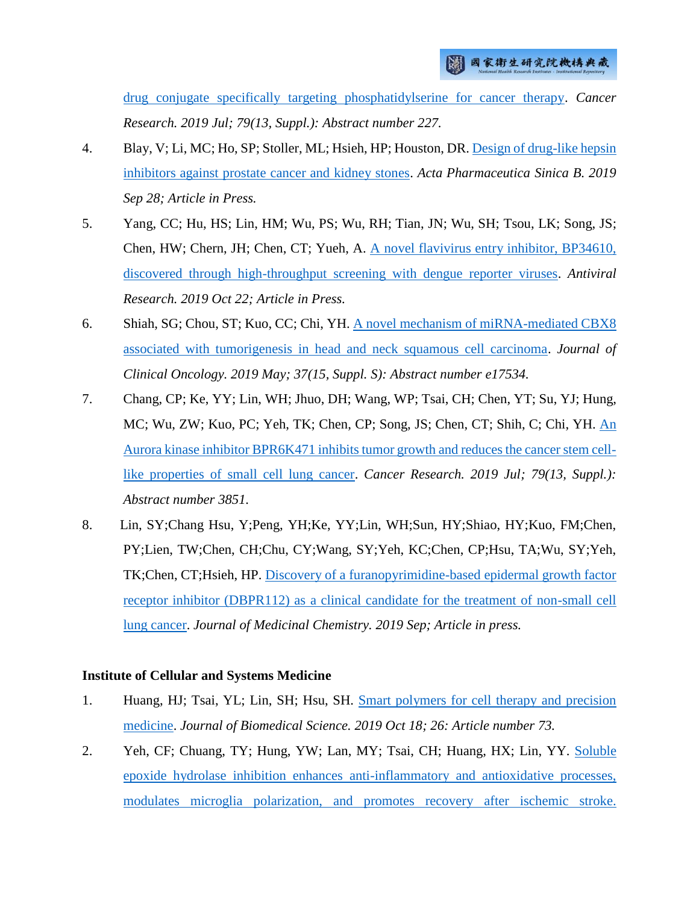[drug conjugate specifically targeting phosphatidylserine for cancer therapy.](http://ir.nhri.org.tw/handle/3990099045/12219) *Cancer Research. 2019 Jul; 79(13, Suppl.): Abstract number 227.*

- 4. Blay, V; Li, MC; Ho, SP; Stoller, ML; Hsieh, HP; Houston, DR[. Design of drug-like hepsin](http://ir.nhri.org.tw/handle/3990099045/12220)  [inhibitors against prostate cancer and kidney stones.](http://ir.nhri.org.tw/handle/3990099045/12220) *Acta Pharmaceutica Sinica B. 2019 Sep 28; Article in Press.*
- 5. Yang, CC; Hu, HS; Lin, HM; Wu, PS; Wu, RH; Tian, JN; Wu, SH; Tsou, LK; Song, JS; Chen, HW; Chern, JH; Chen, CT; Yueh, A. [A novel flavivirus entry inhibitor, BP34610,](http://ir.nhri.org.tw/handle/3990099045/12221)  [discovered through high-throughput screening with dengue reporter viruses.](http://ir.nhri.org.tw/handle/3990099045/12221) *Antiviral Research. 2019 Oct 22; Article in Press.*
- 6. Shiah, SG; Chou, ST; Kuo, CC; Chi, YH. [A novel mechanism of miRNA-mediated CBX8](http://ir.nhri.org.tw/handle/3990099045/12272)  [associated with tumorigenesis in head and neck squamous cell carcinoma.](http://ir.nhri.org.tw/handle/3990099045/12272) *Journal of Clinical Oncology. 2019 May; 37(15, Suppl. S): Abstract number e17534.*
- 7. Chang, CP; Ke, YY; Lin, WH; Jhuo, DH; Wang, WP; Tsai, CH; Chen, YT; Su, YJ; Hung, MC; Wu, ZW; Kuo, PC; Yeh, TK; Chen, CP; Song, JS; Chen, CT; Shih, C; Chi, YH. [An](http://ir.nhri.org.tw/handle/3990099045/12289)  [Aurora kinase inhibitor BPR6K471 inhibits tumor growth and reduces the cancer stem cell](http://ir.nhri.org.tw/handle/3990099045/12289)[like properties of small cell lung cancer.](http://ir.nhri.org.tw/handle/3990099045/12289) *Cancer Research.* 2019 Jul; 79(13, Suppl.): *Abstract number 3851.*
- 8. Lin, SY;Chang Hsu, Y;Peng, YH;Ke, YY;Lin, WH;Sun, HY;Shiao, HY;Kuo, FM;Chen, PY;Lien, TW;Chen, CH;Chu, CY;Wang, SY;Yeh, KC;Chen, CP;Hsu, TA;Wu, SY;Yeh, TK;Chen, CT;Hsieh, HP. [Discovery of a furanopyrimidine-based epidermal growth factor](http://ir.nhri.org.tw/handle/3990099045/12290)  [receptor inhibitor \(DBPR112\) as a clinical candidate for the treatment of non-small cell](http://ir.nhri.org.tw/handle/3990099045/12290)  [lung cancer.](http://ir.nhri.org.tw/handle/3990099045/12290) *Journal of Medicinal Chemistry. 2019 Sep; Article in press.*

#### **Institute of Cellular and Systems Medicine**

- 1. Huang, HJ; Tsai, YL; Lin, SH; Hsu, SH. [Smart polymers for cell therapy and precision](http://ir.nhri.org.tw/handle/3990099045/12224)  [medicine.](http://ir.nhri.org.tw/handle/3990099045/12224) *Journal of Biomedical Science. 2019 Oct 18; 26: Article number 73.*
- 2. Yeh, CF; Chuang, TY; Hung, YW; Lan, MY; Tsai, CH; Huang, HX; Lin, YY. [Soluble](http://ir.nhri.org.tw/handle/3990099045/12225)  [epoxide hydrolase inhibition enhances anti-inflammatory and antioxidative processes,](http://ir.nhri.org.tw/handle/3990099045/12225)  [modulates microglia polarization, and promotes recovery after ischemic stroke.](http://ir.nhri.org.tw/handle/3990099045/12225)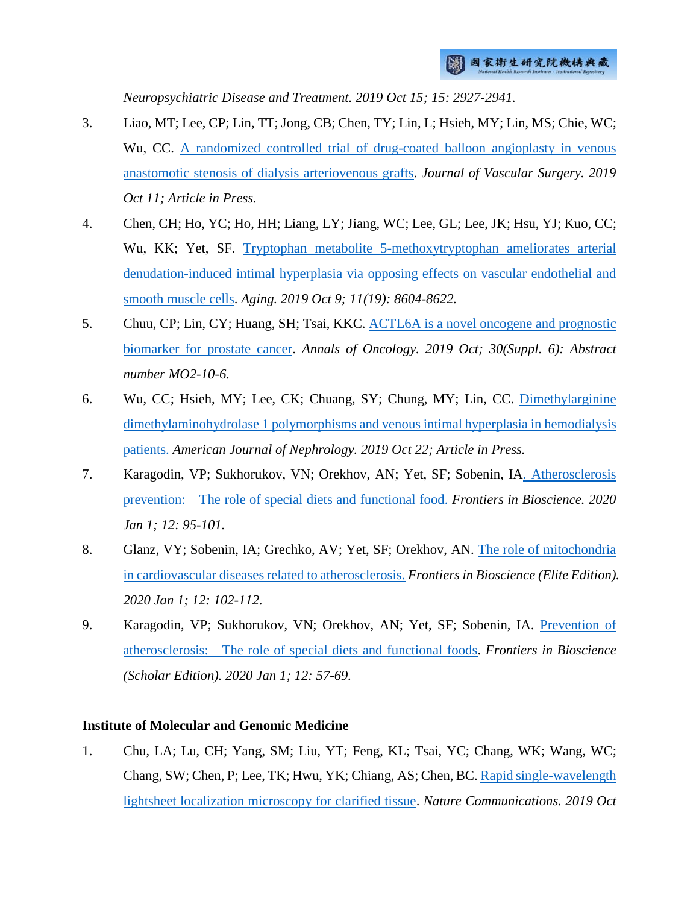*Neuropsychiatric Disease and Treatment. 2019 Oct 15; 15: 2927-2941.*

- 3. Liao, MT; Lee, CP; Lin, TT; Jong, CB; Chen, TY; Lin, L; Hsieh, MY; Lin, MS; Chie, WC; Wu, CC. [A randomized controlled trial of drug-coated balloon angioplasty in venous](http://ir.nhri.org.tw/handle/3990099045/12226)  [anastomotic stenosis of dialysis arteriovenous grafts.](http://ir.nhri.org.tw/handle/3990099045/12226) *Journal of Vascular Surgery. 2019 Oct 11; Article in Press.*
- 4. Chen, CH; Ho, YC; Ho, HH; Liang, LY; Jiang, WC; Lee, GL; Lee, JK; Hsu, YJ; Kuo, CC; Wu, KK; Yet, SF. [Tryptophan metabolite 5-methoxytryptophan ameliorates arterial](http://ir.nhri.org.tw/handle/3990099045/12227)  [denudation-induced intimal hyperplasia via opposing effects on vascular endothelial and](http://ir.nhri.org.tw/handle/3990099045/12227)  [smooth muscle cells.](http://ir.nhri.org.tw/handle/3990099045/12227) *Aging. 2019 Oct 9; 11(19): 8604-8622.*
- 5. Chuu, CP; Lin, CY; Huang, SH; Tsai, KKC. [ACTL6A is a novel oncogene and prognostic](http://ir.nhri.org.tw/handle/3990099045/12228)  [biomarker for prostate cancer.](http://ir.nhri.org.tw/handle/3990099045/12228) *Annals of Oncology. 2019 Oct; 30(Suppl. 6): Abstract number MO2-10-6.*
- 6. Wu, CC; Hsieh, MY; Lee, CK; Chuang, SY; Chung, MY; Lin, CC. [Dimethylarginine](http://ir.nhri.org.tw/handle/3990099045/12229)  [dimethylaminohydrolase 1 polymorphisms and venous intimal hyperplasia](http://ir.nhri.org.tw/handle/3990099045/12229) in hemodialysis [patients.](http://ir.nhri.org.tw/handle/3990099045/12229) *American Journal of Nephrology. 2019 Oct 22; Article in Press.*
- 7. Karagodin, VP; Sukhorukov, VN; Orekhov, AN; Yet, SF; Sobenin, I[A. Atherosclerosis](http://ir.nhri.org.tw/handle/3990099045/12286)  [prevention: The role of special diets and functional food.](http://ir.nhri.org.tw/handle/3990099045/12286) *Frontiers in Bioscience. 2020 Jan 1; 12: 95-101.*
- 8. Glanz, VY; Sobenin, IA; Grechko, AV; Yet, SF; Orekhov, AN. [The role of mitochondria](http://ir.nhri.org.tw/handle/3990099045/12287)  [in cardiovascular diseases related to atherosclerosis.](http://ir.nhri.org.tw/handle/3990099045/12287) *Frontiers in Bioscience (Elite Edition). 2020 Jan 1; 12: 102-112.*
- 9. Karagodin, VP; Sukhorukov, VN; Orekhov, AN; Yet, SF; Sobenin, IA. [Prevention of](http://ir.nhri.org.tw/handle/3990099045/12288)  [atherosclerosis: The role of special diets and functional foods.](http://ir.nhri.org.tw/handle/3990099045/12288) *Frontiers in Bioscience (Scholar Edition). 2020 Jan 1; 12: 57-69.*

## **Institute of Molecular and Genomic Medicine**

1. Chu, LA; Lu, CH; Yang, SM; Liu, YT; Feng, KL; Tsai, YC; Chang, WK; Wang, WC; Chang, SW; Chen, P; Lee, TK; Hwu, YK; Chiang, AS; Chen, BC. [Rapid single-wavelength](http://ir.nhri.org.tw/handle/3990099045/12211)  [lightsheet localization microscopy for clarified tissue.](http://ir.nhri.org.tw/handle/3990099045/12211) *Nature Communications. 2019 Oct*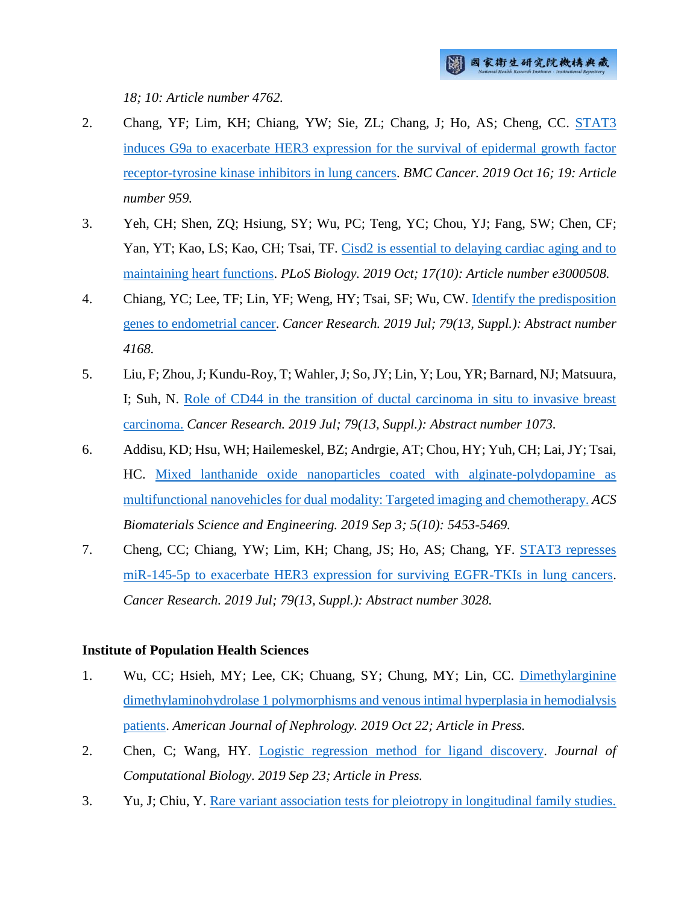*18; 10: Article number 4762.*

- 2. Chang, YF; Lim, KH; Chiang, YW; Sie, ZL; Chang, J; Ho, AS; Cheng, CC. [STAT3](http://ir.nhri.org.tw/handle/3990099045/12212)  [induces G9a to exacerbate HER3 expression for the survival of epidermal growth factor](http://ir.nhri.org.tw/handle/3990099045/12212)  [receptor-tyrosine kinase inhibitors in lung cancers.](http://ir.nhri.org.tw/handle/3990099045/12212) *BMC Cancer. 2019 Oct 16; 19: Article number 959.*
- 3. Yeh, CH; Shen, ZQ; Hsiung, SY; Wu, PC; Teng, YC; Chou, YJ; Fang, SW; Chen, CF; Yan, YT; Kao, LS; Kao, CH; Tsai, TF. [Cisd2 is essential to delaying cardiac aging and to](http://ir.nhri.org.tw/handle/3990099045/12213)  [maintaining heart functions.](http://ir.nhri.org.tw/handle/3990099045/12213) *PLoS Biology. 2019 Oct; 17(10): Article number e3000508.*
- 4. Chiang, YC; Lee, TF; Lin, YF; Weng, HY; Tsai, SF; Wu, CW. [Identify the predisposition](http://ir.nhri.org.tw/handle/3990099045/12214)  [genes to endometrial cancer.](http://ir.nhri.org.tw/handle/3990099045/12214) *Cancer Research. 2019 Jul; 79(13, Suppl.): Abstract number 4168.*
- 5. Liu, F; Zhou, J; Kundu-Roy, T; Wahler, J; So, JY; Lin, Y; Lou, YR; Barnard, NJ; Matsuura, I; Suh, N. [Role of CD44 in the transition of ductal carcinoma in situ to invasive breast](http://ir.nhri.org.tw/handle/3990099045/12215)  [carcinoma.](http://ir.nhri.org.tw/handle/3990099045/12215) *Cancer Research. 2019 Jul; 79(13, Suppl.): Abstract number 1073.*
- 6. Addisu, KD; Hsu, WH; Hailemeskel, BZ; Andrgie, AT; Chou, HY; Yuh, CH; Lai, JY; Tsai, HC. [Mixed lanthanide oxide nanoparticles coated with alginate-polydopamine as](http://ir.nhri.org.tw/handle/3990099045/12216)  multifunctional nanovehicles for [dual modality: Targeted imaging and chemotherapy.](http://ir.nhri.org.tw/handle/3990099045/12216) *ACS Biomaterials Science and Engineering. 2019 Sep 3; 5(10): 5453-5469.*
- 7. Cheng, CC; Chiang, YW; Lim, KH; Chang, JS; Ho, AS; Chang, YF. [STAT3 represses](http://ir.nhri.org.tw/handle/3990099045/12280)  [miR-145-5p to exacerbate HER3 expression for surviving EGFR-TKIs in lung cancers.](http://ir.nhri.org.tw/handle/3990099045/12280) *Cancer Research. 2019 Jul; 79(13, Suppl.): Abstract number 3028.*

#### **Institute of Population Health Sciences**

- 1. Wu, CC; Hsieh, MY; Lee, CK; Chuang, SY; Chung, MY; Lin, CC. [Dimethylarginine](http://ir.nhri.org.tw/handle/3990099045/12229)  [dimethylaminohydrolase 1 polymorphisms and venous intimal hyperplasia in hemodialysis](http://ir.nhri.org.tw/handle/3990099045/12229)  [patients.](http://ir.nhri.org.tw/handle/3990099045/12229) *American Journal of Nephrology. 2019 Oct 22; Article in Press.*
- 2. Chen, C; Wang, HY. [Logistic regression method for ligand discovery.](http://ir.nhri.org.tw/handle/3990099045/12232) *Journal of Computational Biology. 2019 Sep 23; Article in Press.*
- 3. Yu, J; Chiu, Y. [Rare variant association tests for pleiotropy in longitudinal family studies.](http://ir.nhri.org.tw/handle/3990099045/12233)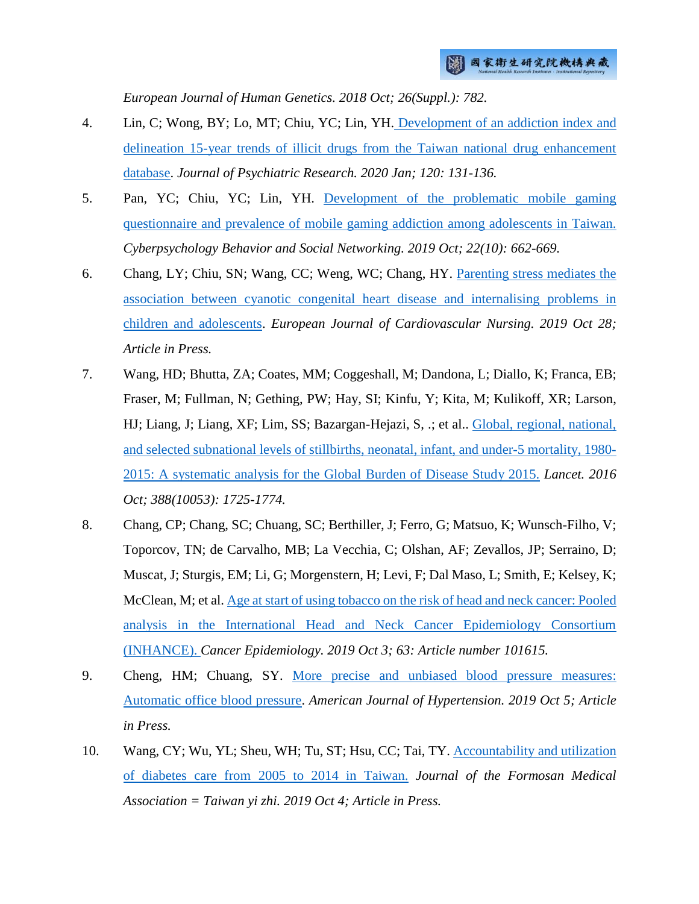*European Journal of Human Genetics. 2018 Oct; 26(Suppl.): 782.*

- 4. Lin, C; Wong, BY; Lo, MT; Chiu, YC; Lin, YH. [Development of an addiction index and](http://ir.nhri.org.tw/handle/3990099045/12234)  [delineation 15-year trends of illicit drugs from the Taiwan national drug enhancement](http://ir.nhri.org.tw/handle/3990099045/12234)  [database.](http://ir.nhri.org.tw/handle/3990099045/12234) *Journal of Psychiatric Research. 2020 Jan; 120: 131-136.*
- 5. Pan, YC; Chiu, YC; Lin, YH. [Development of the problematic mobile gaming](http://ir.nhri.org.tw/handle/3990099045/12235)  [questionnaire and prevalence of mobile gaming addiction among adolescents in Taiwan.](http://ir.nhri.org.tw/handle/3990099045/12235) *Cyberpsychology Behavior and Social Networking. 2019 Oct; 22(10): 662-669.*
- 6. Chang, LY; Chiu, SN; Wang, CC; Weng, WC; Chang, HY. [Parenting stress mediates the](http://ir.nhri.org.tw/handle/3990099045/12236)  [association between cyanotic congenital heart disease and internalising problems in](http://ir.nhri.org.tw/handle/3990099045/12236)  [children and adolescents.](http://ir.nhri.org.tw/handle/3990099045/12236) *European Journal of Cardiovascular Nursing. 2019 Oct 28; Article in Press.*
- 7. Wang, HD; Bhutta, ZA; Coates, MM; Coggeshall, M; Dandona, L; Diallo, K; Franca, EB; Fraser, M; Fullman, N; Gething, PW; Hay, SI; Kinfu, Y; Kita, M; Kulikoff, XR; Larson, HJ; Liang, J; Liang, XF; Lim, SS; Bazargan-Hejazi, S, .; et al.. [Global, regional, national,](http://ir.nhri.org.tw/handle/3990099045/12237)  [and selected subnational levels of stillbirths, neonatal, infant, and under-5 mortality, 1980-](http://ir.nhri.org.tw/handle/3990099045/12237) [2015: A systematic analysis for the Global Burden of Disease Study 2015.](http://ir.nhri.org.tw/handle/3990099045/12237) *Lancet. 2016 Oct; 388(10053): 1725-1774.*
- 8. Chang, CP; Chang, SC; Chuang, SC; Berthiller, J; Ferro, G; Matsuo, K; Wunsch-Filho, V; Toporcov, TN; de Carvalho, MB; La Vecchia, C; Olshan, AF; Zevallos, JP; Serraino, D; Muscat, J; Sturgis, EM; Li, G; Morgenstern, H; Levi, F; Dal Maso, L; Smith, E; Kelsey, K; McClean, M; et al. [Age at start of using tobacco on the risk of head and neck cancer: Pooled](http://ir.nhri.org.tw/handle/3990099045/12238)  [analysis in the International Head and Neck Cancer Epidemiology Consortium](http://ir.nhri.org.tw/handle/3990099045/12238)  [\(INHANCE\).](http://ir.nhri.org.tw/handle/3990099045/12238) *Cancer Epidemiology. 2019 Oct 3; 63: Article number 101615.*
- 9. Cheng, HM; Chuang, SY. [More precise and unbiased blood pressure measures:](http://ir.nhri.org.tw/handle/3990099045/12239)  [Automatic office blood pressure.](http://ir.nhri.org.tw/handle/3990099045/12239) *American Journal of Hypertension. 2019 Oct 5; Article in Press.*
- 10. Wang, CY; Wu, YL; Sheu, WH; Tu, ST; Hsu, CC; Tai, TY. Accountability and utilization [of diabetes care from 2005 to 2014 in Taiwan.](http://ir.nhri.org.tw/handle/3990099045/12240) *Journal of the Formosan Medical Association = Taiwan yi zhi. 2019 Oct 4; Article in Press.*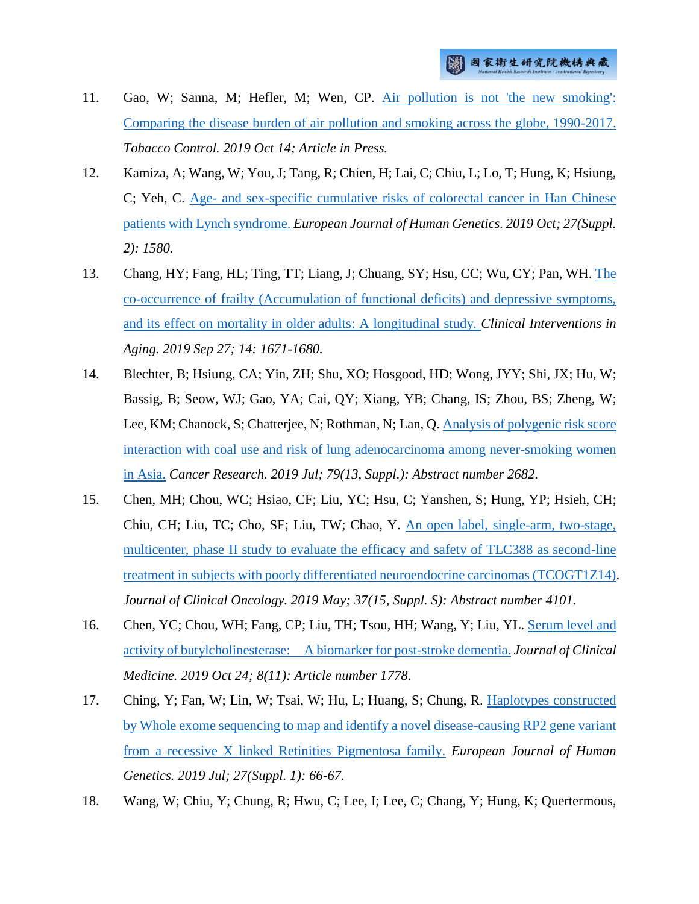- 11. Gao, W; Sanna, M; Hefler, M; Wen, CP. [Air pollution is not 'the new smoking':](http://ir.nhri.org.tw/handle/3990099045/12241)  [Comparing the disease burden of air pollution and smoking across the globe, 1990-2017.](http://ir.nhri.org.tw/handle/3990099045/12241) *Tobacco Control. 2019 Oct 14; Article in Press.*
- 12. Kamiza, A; Wang, W; You, J; Tang, R; Chien, H; Lai, C; Chiu, L; Lo, T; Hung, K; Hsiung, C; Yeh, C. Age- [and sex-specific cumulative risks of colorectal cancer in Han Chinese](http://ir.nhri.org.tw/handle/3990099045/12242)  [patients with Lynch syndrome.](http://ir.nhri.org.tw/handle/3990099045/12242) *European Journal of Human Genetics. 2019 Oct; 27(Suppl. 2): 1580.*
- 13. Chang, HY; Fang, HL; Ting, TT; Liang, J; Chuang, SY; Hsu, CC; Wu, CY; Pan, WH. [The](http://ir.nhri.org.tw/handle/3990099045/12243)  [co-occurrence of frailty \(Accumulation of functional deficits\) and depressive symptoms,](http://ir.nhri.org.tw/handle/3990099045/12243)  [and its effect on mortality in older adults: A longitudinal study.](http://ir.nhri.org.tw/handle/3990099045/12243) *Clinical Interventions in Aging. 2019 Sep 27; 14: 1671-1680.*
- 14. Blechter, B; Hsiung, CA; Yin, ZH; Shu, XO; Hosgood, HD; Wong, JYY; Shi, JX; Hu, W; Bassig, B; Seow, WJ; Gao, YA; Cai, QY; Xiang, YB; Chang, IS; Zhou, BS; Zheng, W; Lee, KM; Chanock, S; Chatterjee, N; Rothman, N; Lan, Q. [Analysis of polygenic risk score](http://ir.nhri.org.tw/handle/3990099045/12244)  [interaction with coal use and risk of lung adenocarcinoma among never-smoking women](http://ir.nhri.org.tw/handle/3990099045/12244)  [in Asia.](http://ir.nhri.org.tw/handle/3990099045/12244) *Cancer Research. 2019 Jul; 79(13, Suppl.): Abstract number 2682.*
- 15. Chen, MH; Chou, WC; Hsiao, CF; Liu, YC; Hsu, C; Yanshen, S; Hung, YP; Hsieh, CH; Chiu, CH; Liu, TC; Cho, SF; Liu, TW; Chao, Y. [An open label, single-arm, two-stage,](http://ir.nhri.org.tw/handle/3990099045/12245)  [multicenter, phase II study to evaluate the efficacy and safety of TLC388 as second-line](http://ir.nhri.org.tw/handle/3990099045/12245)  [treatment in subjects with poorly differentiated neuroendocrine carcinomas \(TCOGT1Z14\).](http://ir.nhri.org.tw/handle/3990099045/12245) *Journal of Clinical Oncology. 2019 May; 37(15, Suppl. S): Abstract number 4101.*
- 16. Chen, YC; Chou, WH; Fang, CP; Liu, TH; Tsou, HH; Wang, Y; Liu, YL. [Serum level and](http://ir.nhri.org.tw/handle/3990099045/12251)  [activity of butylcholinesterase: A biomarker for post-stroke dementia.](http://ir.nhri.org.tw/handle/3990099045/12251) *Journal of Clinical Medicine. 2019 Oct 24; 8(11): Article number 1778.*
- 17. Ching, Y; Fan, W; Lin, W; Tsai, W; Hu, L; Huang, S; Chung, R. [Haplotypes constructed](http://ir.nhri.org.tw/handle/3990099045/12278)  [by Whole exome sequencing to map and identify a novel disease-causing RP2 gene variant](http://ir.nhri.org.tw/handle/3990099045/12278)  [from a recessive X linked Retinities Pigmentosa family.](http://ir.nhri.org.tw/handle/3990099045/12278) *European Journal of Human Genetics. 2019 Jul; 27(Suppl. 1): 66-67.*
- 18. Wang, W; Chiu, Y; Chung, R; Hwu, C; Lee, I; Lee, C; Chang, Y; Hung, K; Quertermous,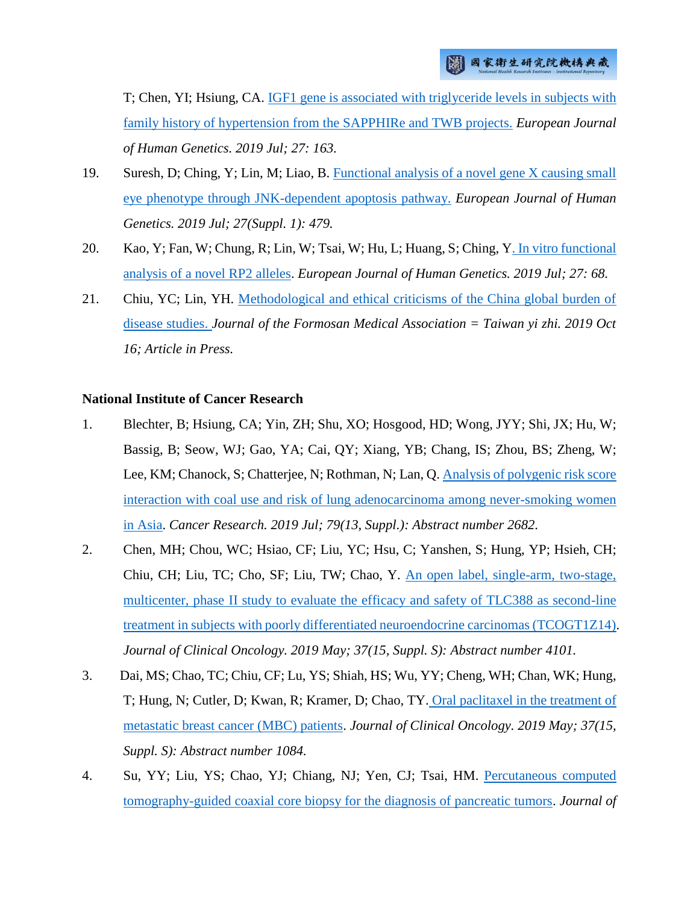T; Chen, YI; Hsiung, CA. [IGF1 gene is associated with triglyceride levels in subjects with](http://ir.nhri.org.tw/handle/3990099045/12279)  [family history of hypertension from the SAPPHIRe and TWB projects.](http://ir.nhri.org.tw/handle/3990099045/12279) *European Journal of Human Genetics. 2019 Jul; 27: 163.*

- 19. Suresh, D; Ching, Y; Lin, M; Liao, B. [Functional analysis of a novel gene X causing small](http://ir.nhri.org.tw/handle/3990099045/12281)  [eye phenotype through JNK-dependent apoptosis pathway.](http://ir.nhri.org.tw/handle/3990099045/12281) *European Journal of Human Genetics. 2019 Jul; 27(Suppl. 1): 479.*
- 20. Kao, Y; Fan, W; Chung, R; Lin, W; Tsai, W; Hu, L; Huang, S; Ching, [Y. In vitro functional](http://ir.nhri.org.tw/handle/3990099045/12282)  [analysis of a novel RP2 alleles.](http://ir.nhri.org.tw/handle/3990099045/12282) *European Journal of Human Genetics. 2019 Jul; 27: 68.*
- 21. Chiu, YC; Lin, YH. [Methodological and ethical criticisms of the China global burden of](http://ir.nhri.org.tw/handle/3990099045/12283)  [disease studies.](http://ir.nhri.org.tw/handle/3990099045/12283) *Journal of the Formosan Medical Association = Taiwan yi zhi. 2019 Oct 16; Article in Press.*

#### **National Institute of Cancer Research**

- 1. Blechter, B; Hsiung, CA; Yin, ZH; Shu, XO; Hosgood, HD; Wong, JYY; Shi, JX; Hu, W; Bassig, B; Seow, WJ; Gao, YA; Cai, QY; Xiang, YB; Chang, IS; Zhou, BS; Zheng, W; Lee, KM; Chanock, S; Chatterjee, N; Rothman, N; Lan, Q. Analysis of [polygenic risk score](http://ir.nhri.org.tw/handle/3990099045/12244)  [interaction with coal use and risk of lung adenocarcinoma among never-smoking women](http://ir.nhri.org.tw/handle/3990099045/12244)  [in Asia.](http://ir.nhri.org.tw/handle/3990099045/12244) *Cancer Research. 2019 Jul; 79(13, Suppl.): Abstract number 2682.*
- 2. Chen, MH; Chou, WC; Hsiao, CF; Liu, YC; Hsu, C; Yanshen, S; Hung, YP; Hsieh, CH; Chiu, CH; Liu, TC; Cho, SF; Liu, TW; Chao, Y. [An open label, single-arm, two-stage,](http://ir.nhri.org.tw/handle/3990099045/12245)  [multicenter, phase II study to evaluate the efficacy and safety of TLC388 as second-line](http://ir.nhri.org.tw/handle/3990099045/12245)  [treatment in subjects with poorly differentiated neuroendocrine carcinomas \(TCOGT1Z14\).](http://ir.nhri.org.tw/handle/3990099045/12245) *Journal of Clinical Oncology. 2019 May; 37(15, Suppl. S): Abstract number 4101.*
- 3. Dai, MS; Chao, TC; Chiu, CF; Lu, YS; Shiah, HS; Wu, YY; Cheng, WH; Chan, WK; Hung, T; Hung, N; Cutler, D; Kwan, R; Kramer, D; Chao, TY. [Oral paclitaxel in the treatment of](http://ir.nhri.org.tw/handle/3990099045/12255)  [metastatic breast cancer \(MBC\) patients.](http://ir.nhri.org.tw/handle/3990099045/12255) *Journal of Clinical Oncology. 2019 May; 37(15, Suppl. S): Abstract number 1084.*
- 4. Su, YY; Liu, YS; Chao, YJ; Chiang, NJ; Yen, CJ; Tsai, HM. [Percutaneous computed](http://ir.nhri.org.tw/handle/3990099045/12256)  [tomography-guided coaxial core biopsy for the diagnosis of pancreatic tumors.](http://ir.nhri.org.tw/handle/3990099045/12256) *Journal of*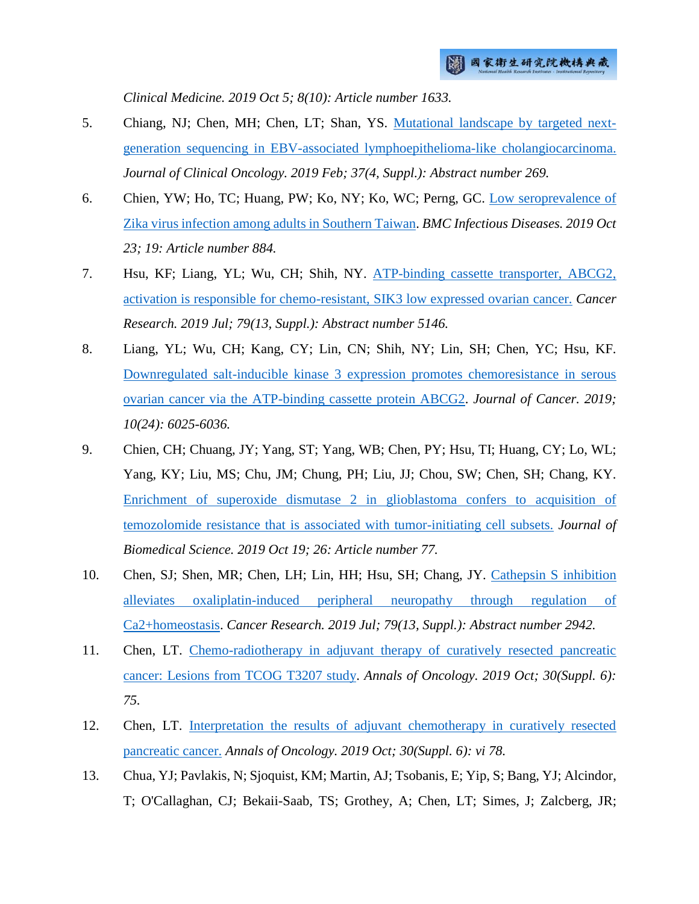*Clinical Medicine. 2019 Oct 5; 8(10): Article number 1633.*

- 5. Chiang, NJ; Chen, MH; Chen, LT; Shan, YS. [Mutational landscape by targeted next](http://ir.nhri.org.tw/handle/3990099045/12257)[generation sequencing in EBV-associated lymphoepithelioma-like cholangiocarcinoma.](http://ir.nhri.org.tw/handle/3990099045/12257) *Journal of Clinical Oncology. 2019 Feb; 37(4, Suppl.): Abstract number 269.*
- 6. Chien, YW; Ho, TC; Huang, PW; Ko, NY; Ko, WC; Perng, GC. [Low seroprevalence of](http://ir.nhri.org.tw/handle/3990099045/12258)  [Zika virus infection among adults in Southern Taiwan.](http://ir.nhri.org.tw/handle/3990099045/12258) *BMC Infectious Diseases. 2019 Oct 23; 19: Article number 884.*
- 7. Hsu, KF; Liang, YL; Wu, CH; Shih, NY. [ATP-binding cassette transporter, ABCG2,](http://ir.nhri.org.tw/handle/3990099045/12259)  [activation is responsible for chemo-resistant, SIK3 low expressed ovarian cancer.](http://ir.nhri.org.tw/handle/3990099045/12259) *Cancer Research. 2019 Jul; 79(13, Suppl.): Abstract number 5146.*
- 8. Liang, YL; Wu, CH; Kang, CY; Lin, CN; Shih, NY; Lin, SH; Chen, YC; Hsu, KF. [Downregulated salt-inducible kinase 3 expression promotes chemoresistance in serous](http://ir.nhri.org.tw/handle/3990099045/12260)  [ovarian cancer via the ATP-binding cassette protein ABCG2.](http://ir.nhri.org.tw/handle/3990099045/12260) *Journal of Cancer. 2019; 10(24): 6025-6036.*
- 9. Chien, CH; Chuang, JY; Yang, ST; Yang, WB; Chen, PY; Hsu, TI; Huang, CY; Lo, WL; Yang, KY; Liu, MS; Chu, JM; Chung, PH; Liu, JJ; Chou, SW; Chen, SH; Chang, KY. [Enrichment of superoxide dismutase 2 in glioblastoma confers to acquisition of](http://ir.nhri.org.tw/handle/3990099045/12261)  [temozolomide resistance that is associated with tumor-initiating cell subsets.](http://ir.nhri.org.tw/handle/3990099045/12261) *Journal of Biomedical Science. 2019 Oct 19; 26: Article number 77.*
- 10. Chen, SJ; Shen, MR; Chen, LH; Lin, HH; Hsu, SH; Chang, JY. [Cathepsin S inhibition](http://ir.nhri.org.tw/handle/3990099045/12262)  [alleviates oxaliplatin-induced peripheral neuropathy through regulation of](http://ir.nhri.org.tw/handle/3990099045/12262)  [Ca2+homeostasis.](http://ir.nhri.org.tw/handle/3990099045/12262) *Cancer Research. 2019 Jul; 79(13, Suppl.): Abstract number 2942.*
- 11. Chen, LT. [Chemo-radiotherapy in adjuvant therapy of curatively resected pancreatic](http://ir.nhri.org.tw/handle/3990099045/12263)  [cancer: Lesions from TCOG T3207 study.](http://ir.nhri.org.tw/handle/3990099045/12263) *Annals of Oncology. 2019 Oct; 30(Suppl. 6): 75.*
- 12. Chen, LT. [Interpretation the results of adjuvant chemotherapy in curatively resected](http://ir.nhri.org.tw/handle/3990099045/12264)  [pancreatic cancer.](http://ir.nhri.org.tw/handle/3990099045/12264) *Annals of Oncology. 2019 Oct; 30(Suppl. 6): vi 78.*
- 13. Chua, YJ; Pavlakis, N; Sjoquist, KM; Martin, AJ; Tsobanis, E; Yip, S; Bang, YJ; Alcindor, T; O'Callaghan, CJ; Bekaii-Saab, TS; Grothey, A; Chen, LT; Simes, J; Zalcberg, JR;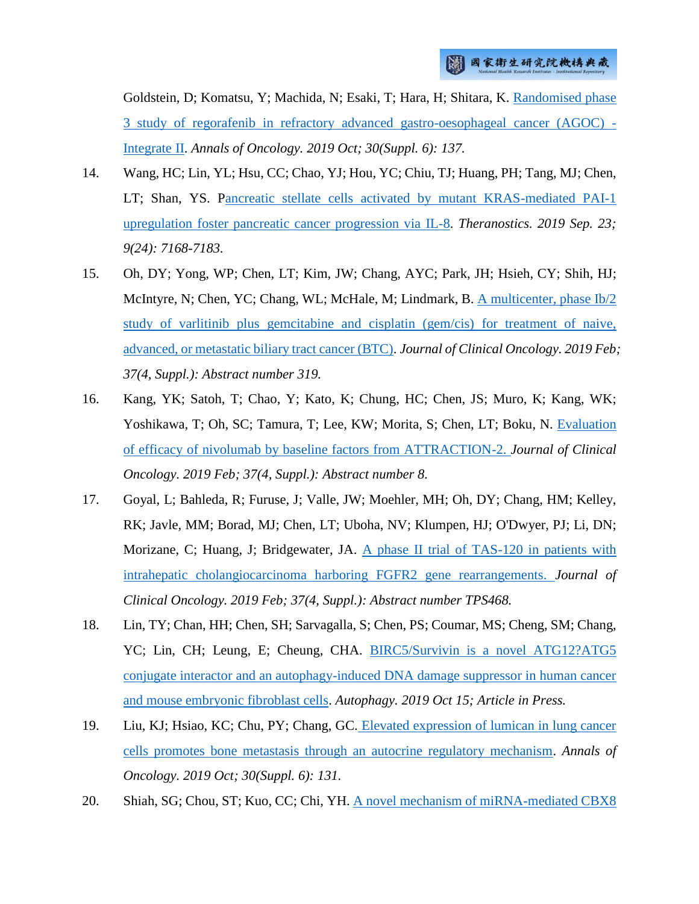Goldstein, D; Komatsu, Y; Machida, N; Esaki, T; Hara, H; Shitara, K. [Randomised phase](http://ir.nhri.org.tw/handle/3990099045/12265)  [3 study of regorafenib in refractory advanced gastro-oesophageal cancer \(AGOC\) -](http://ir.nhri.org.tw/handle/3990099045/12265) [Integrate II.](http://ir.nhri.org.tw/handle/3990099045/12265) *Annals of Oncology. 2019 Oct; 30(Suppl. 6): 137.*

- 14. Wang, HC; Lin, YL; Hsu, CC; Chao, YJ; Hou, YC; Chiu, TJ; Huang, PH; Tang, MJ; Chen, LT; Shan, YS. [Pancreatic stellate cells activated by mutant KRAS-mediated PAI-1](http://ir.nhri.org.tw/handle/3990099045/12266)  [upregulation foster pancreatic cancer progression via IL-8.](http://ir.nhri.org.tw/handle/3990099045/12266) *Theranostics. 2019 Sep. 23; 9(24): 7168-7183.*
- 15. Oh, DY; Yong, WP; Chen, LT; Kim, JW; Chang, AYC; Park, JH; Hsieh, CY; Shih, HJ; McIntyre, N; Chen, YC; Chang, WL; McHale, M; Lindmark, B. [A multicenter, phase Ib/2](http://ir.nhri.org.tw/handle/3990099045/12267)  [study of varlitinib plus gemcitabine and cisplatin \(gem/cis\) for treatment of naive,](http://ir.nhri.org.tw/handle/3990099045/12267)  [advanced, or metastatic biliary tract cancer \(BTC\).](http://ir.nhri.org.tw/handle/3990099045/12267) *Journal of Clinical Oncology. 2019 Feb; 37(4, Suppl.): Abstract number 319.*
- 16. Kang, YK; Satoh, T; Chao, Y; Kato, K; Chung, HC; Chen, JS; Muro, K; Kang, WK; Yoshikawa, T; Oh, SC; Tamura, T; Lee, KW; Morita, S; Chen, LT; Boku, N. [Evaluation](http://ir.nhri.org.tw/handle/3990099045/12268)  [of efficacy of nivolumab by baseline factors from ATTRACTION-2.](http://ir.nhri.org.tw/handle/3990099045/12268) *Journal of Clinical Oncology. 2019 Feb; 37(4, Suppl.): Abstract number 8.*
- 17. Goyal, L; Bahleda, R; Furuse, J; Valle, JW; Moehler, MH; Oh, DY; Chang, HM; Kelley, RK; Javle, MM; Borad, MJ; Chen, LT; Uboha, NV; Klumpen, HJ; O'Dwyer, PJ; Li, DN; Morizane, C; Huang, J; Bridgewater, JA. [A phase II trial of TAS-120 in patients with](http://ir.nhri.org.tw/handle/3990099045/12269)  [intrahepatic cholangiocarcinoma harboring FGFR2 gene rearrangements.](http://ir.nhri.org.tw/handle/3990099045/12269) *Journal of Clinical Oncology. 2019 Feb; 37(4, Suppl.): Abstract number TPS468.*
- 18. Lin, TY; Chan, HH; Chen, SH; Sarvagalla, S; Chen, PS; Coumar, MS; Cheng, SM; Chang, YC; Lin, CH; Leung, E; Cheung, CHA. [BIRC5/Survivin is a novel ATG12?ATG5](http://ir.nhri.org.tw/handle/3990099045/12270) [conjugate interactor and an autophagy-induced DNA damage suppressor in human cancer](http://ir.nhri.org.tw/handle/3990099045/12270)  [and mouse embryonic fibroblast cells.](http://ir.nhri.org.tw/handle/3990099045/12270) *Autophagy. 2019 Oct 15; Article in Press.*
- 19. Liu, KJ; Hsiao, KC; Chu, PY; Chang, GC. [Elevated expression of lumican in lung cancer](http://ir.nhri.org.tw/handle/3990099045/12271)  [cells promotes bone metastasis through an autocrine regulatory mechanism.](http://ir.nhri.org.tw/handle/3990099045/12271) *Annals of Oncology. 2019 Oct; 30(Suppl. 6): 131.*
- 20. Shiah, SG; Chou, ST; Kuo, CC; Chi, YH. [A novel mechanism of miRNA-mediated CBX8](http://ir.nhri.org.tw/handle/3990099045/12272)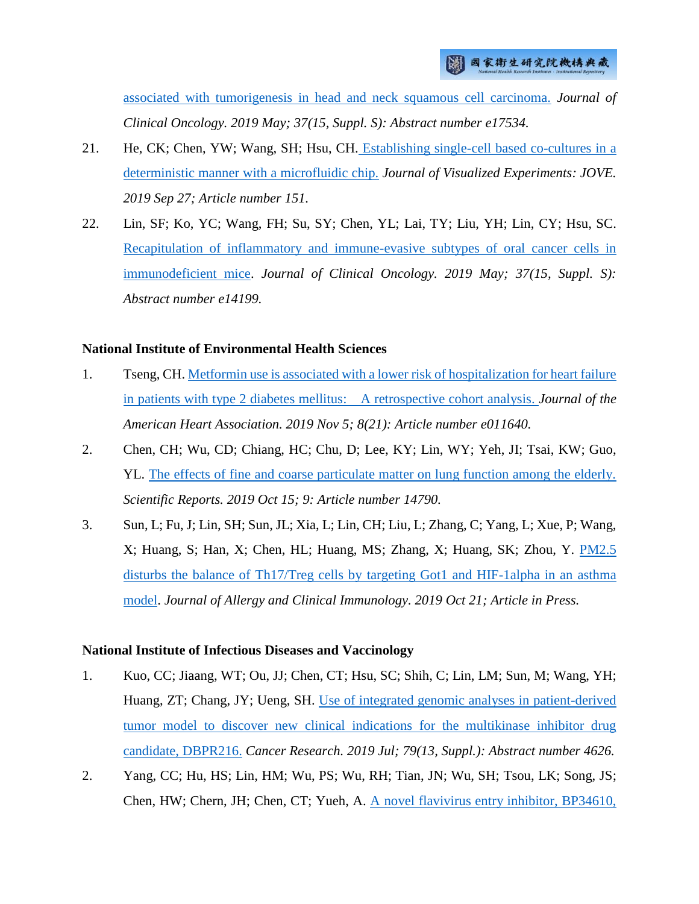[associated with tumorigenesis in head and neck squamous cell carcinoma.](http://ir.nhri.org.tw/handle/3990099045/12272) *Journal of Clinical Oncology. 2019 May; 37(15, Suppl. S): Abstract number e17534.*

- 21. He, CK; Chen, YW; Wang, SH; Hsu, CH. [Establishing single-cell based co-cultures in a](http://ir.nhri.org.tw/handle/3990099045/12277)  [deterministic manner with a microfluidic chip.](http://ir.nhri.org.tw/handle/3990099045/12277) *Journal of Visualized Experiments: JOVE. 2019 Sep 27; Article number 151.*
- 22. Lin, SF; Ko, YC; Wang, FH; Su, SY; Chen, YL; Lai, TY; Liu, YH; Lin, CY; Hsu, SC. [Recapitulation of inflammatory and immune-evasive subtypes of oral cancer cells in](http://ir.nhri.org.tw/handle/3990099045/12284)  [immunodeficient mice.](http://ir.nhri.org.tw/handle/3990099045/12284) *Journal of Clinical Oncology. 2019 May; 37(15, Suppl. S): Abstract number e14199.*

#### **National Institute of Environmental Health Sciences**

- 1. Tseng, CH[. Metformin use is associated with a lower risk of hospitalization for heart failure](http://ir.nhri.org.tw/handle/3990099045/12252)  [in patients with type 2 diabetes mellitus: A retrospective cohort analysis.](http://ir.nhri.org.tw/handle/3990099045/12252) *Journal of the American Heart Association. 2019 Nov 5; 8(21): Article number e011640.*
- 2. Chen, CH; Wu, CD; Chiang, HC; Chu, D; Lee, KY; Lin, WY; Yeh, JI; Tsai, KW; Guo, YL. [The effects of fine and coarse particulate matter on lung function among the elderly.](http://ir.nhri.org.tw/handle/3990099045/12253) *Scientific Reports. 2019 Oct 15; 9: Article number 14790.*
- 3. Sun, L; Fu, J; Lin, SH; Sun, JL; Xia, L; Lin, CH; Liu, L; Zhang, C; Yang, L; Xue, P; Wang, X; Huang, S; Han, X; Chen, HL; Huang, MS; Zhang, X; Huang, SK; Zhou, Y. [PM2.5](http://ir.nhri.org.tw/handle/3990099045/12254)  [disturbs the balance of Th17/Treg cells by targeting Got1 and HIF-1alpha in an asthma](http://ir.nhri.org.tw/handle/3990099045/12254)  [model.](http://ir.nhri.org.tw/handle/3990099045/12254) *Journal of Allergy and Clinical Immunology. 2019 Oct 21; Article in Press.*

#### **National Institute of Infectious Diseases and Vaccinology**

- 1. Kuo, CC; Jiaang, WT; Ou, JJ; Chen, CT; Hsu, SC; Shih, C; Lin, LM; Sun, M; Wang, YH; Huang, ZT; Chang, JY; Ueng, SH. [Use of integrated genomic analyses in patient-derived](http://ir.nhri.org.tw/handle/3990099045/12218)  [tumor model to discover new clinical indications for the multikinase inhibitor drug](http://ir.nhri.org.tw/handle/3990099045/12218)  [candidate, DBPR216.](http://ir.nhri.org.tw/handle/3990099045/12218) *Cancer Research. 2019 Jul; 79(13, Suppl.): Abstract number 4626.*
- 2. Yang, CC; Hu, HS; Lin, HM; Wu, PS; Wu, RH; Tian, JN; Wu, SH; Tsou, LK; Song, JS; Chen, HW; Chern, JH; Chen, CT; Yueh, A. [A novel flavivirus entry inhibitor, BP34610,](http://ir.nhri.org.tw/handle/3990099045/12221)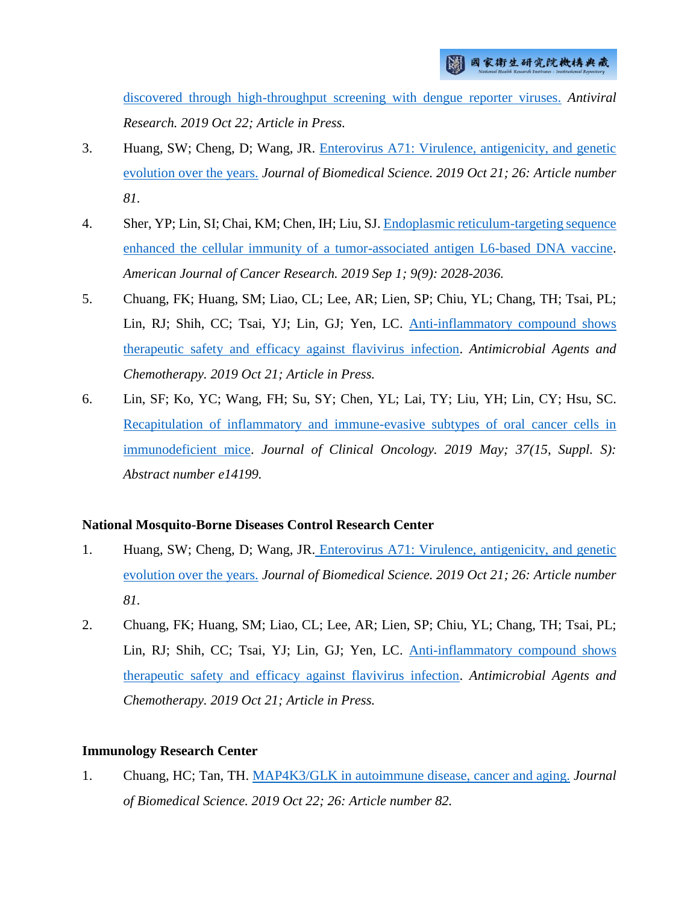[discovered through high-throughput screening with dengue reporter viruses.](http://ir.nhri.org.tw/handle/3990099045/12221) *Antiviral Research. 2019 Oct 22; Article in Press.*

- 3. Huang, SW; Cheng, D; Wang, JR. [Enterovirus A71: Virulence, antigenicity, and genetic](http://ir.nhri.org.tw/handle/3990099045/12223)  [evolution over the years.](http://ir.nhri.org.tw/handle/3990099045/12223) *Journal of Biomedical Science. 2019 Oct 21; 26: Article number 81.*
- 4. Sher, YP; Lin, SI; Chai, KM; Chen, IH; Liu, SJ. Endoplasmic reticulum-targeting sequence [enhanced the cellular immunity of a tumor-associated antigen L6-based DNA vaccine.](http://ir.nhri.org.tw/handle/3990099045/12230) *American Journal of Cancer Research. 2019 Sep 1; 9(9): 2028-2036.*
- 5. Chuang, FK; Huang, SM; Liao, CL; Lee, AR; Lien, SP; Chiu, YL; Chang, TH; Tsai, PL; Lin, RJ; Shih, CC; Tsai, YJ; Lin, GJ; Yen, LC. [Anti-inflammatory compound shows](http://ir.nhri.org.tw/handle/3990099045/12231)  [therapeutic safety and efficacy against flavivirus infection.](http://ir.nhri.org.tw/handle/3990099045/12231) *Antimicrobial Agents and Chemotherapy. 2019 Oct 21; Article in Press.*
- 6. Lin, SF; Ko, YC; Wang, FH; Su, SY; Chen, YL; Lai, TY; Liu, YH; Lin, CY; Hsu, SC. [Recapitulation of inflammatory and immune-evasive subtypes of oral cancer cells in](http://ir.nhri.org.tw/handle/3990099045/12284)  [immunodeficient mice.](http://ir.nhri.org.tw/handle/3990099045/12284) *Journal of Clinical Oncology. 2019 May; 37(15, Suppl. S): Abstract number e14199.*

# **National Mosquito-Borne Diseases Control Research Center**

- 1. Huang, SW; Cheng, D; Wang, JR. [Enterovirus A71: Virulence, antigenicity, and genetic](http://ir.nhri.org.tw/handle/3990099045/12223)  [evolution over the years.](http://ir.nhri.org.tw/handle/3990099045/12223) *Journal of Biomedical Science. 2019 Oct 21; 26: Article number 81.*
- 2. Chuang, FK; Huang, SM; Liao, CL; Lee, AR; Lien, SP; Chiu, YL; Chang, TH; Tsai, PL; Lin, RJ; Shih, CC; Tsai, YJ; Lin, GJ; Yen, LC. [Anti-inflammatory compound shows](http://ir.nhri.org.tw/handle/3990099045/12231)  [therapeutic safety and efficacy against flavivirus infection.](http://ir.nhri.org.tw/handle/3990099045/12231) *Antimicrobial Agents and Chemotherapy. 2019 Oct 21; Article in Press.*

# **Immunology Research Center**

1. Chuang, HC; Tan, TH. [MAP4K3/GLK in autoimmune disease, cancer and aging.](http://ir.nhri.org.tw/handle/3990099045/12222) *Journal of Biomedical Science. 2019 Oct 22; 26: Article number 82.*